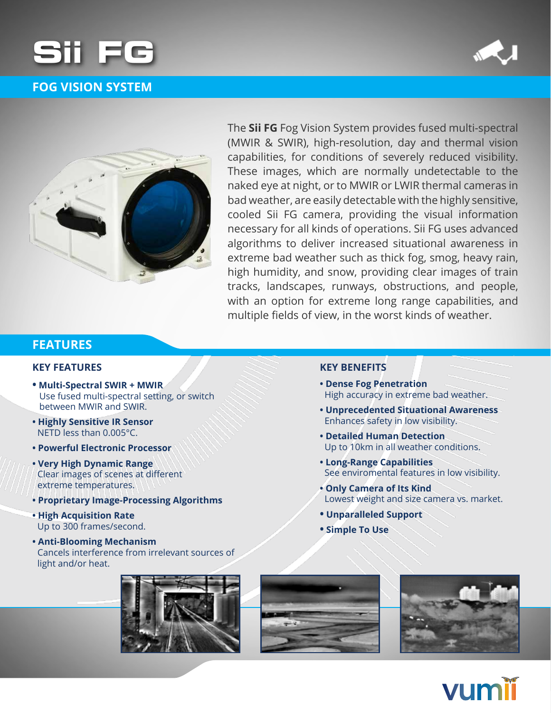

# **FOG VISION SYSTEM**





The **Sii FG** Fog Vision System provides fused multi-spectral (MWIR & SWIR), high-resolution, day and thermal vision capabilities, for conditions of severely reduced visibility. These images, which are normally undetectable to the naked eye at night, or to MWIR or LWIR thermal cameras in bad weather, are easily detectable with the highly sensitive, cooled Sii FG camera, providing the visual information necessary for all kinds of operations. Sii FG uses advanced algorithms to deliver increased situational awareness in extreme bad weather such as thick fog, smog, heavy rain, high humidity, and snow, providing clear images of train tracks, landscapes, runways, obstructions, and people, with an option for extreme long range capabilities, and multiple fields of view, in the worst kinds of weather.

### **FEATURES**

### **KEY FEATURES**

- $\bullet$  Multi-Spectral SWIR + MWIR Use fused multi-spectral setting, or switch between MWIR and SWIR.
- **Highly Sensitive IR Sensor** NFTD less than  $0.005^{\circ}$ C.
- **Powerful Electronic Processor**
- **Very High Dynamic Range** Clear images of scenes at different extreme temperatures.
- **Proprietary Image-Processing Algorithms**
- **High Acquisition Rate** Up to 300 frames/second.
- **Anti-Blooming Mechanism** Cancels interference from irrelevant sources of light and/or heat.









#### **KEY BENEFITS**

- **Dense Fog Penetration** High accuracy in extreme bad weather.
- **Unprecedented Situational Awareness** Enhances safety in low visibility.
- **Detailed Human Detection** Up to 10km in all weather conditions.
- **Capabilities Range-Long**  See enviromental features in low visibility.
- **Only Camera of Its Kind** Lowest weight and size camera vs. market.
- **Unparalleled Support**
- **•** Simple To Use